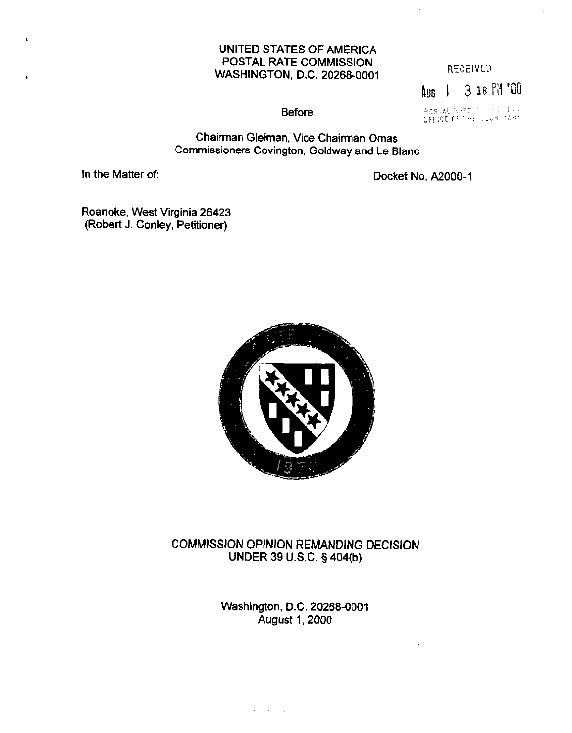# UNITED STATES OF AMERICA POSTAL RATE COMMISSION WASHINGTON, D.C. 20268-0001 RECEIVED

RUG I 3 18 PI! "@I

**Before** 

POSTAL RATE CONDITION

Chairman Gleiman, Vice Chairman Omas Commissioners Covington, Goldway and Le Blanc

In the Matter of: Docket No. A2000-1

Roanoke, West Virginia 26423 (Robert J. Conley, Petitioner)



COMMISSION OPINION REMANDING DECISION UNDER 39 U.S.C. § 404(b)

> Washington, D.C. 20266-0001 August 1,2000

> > $\alpha_{\rm{eff}}=2.00$  km  $^{-1}$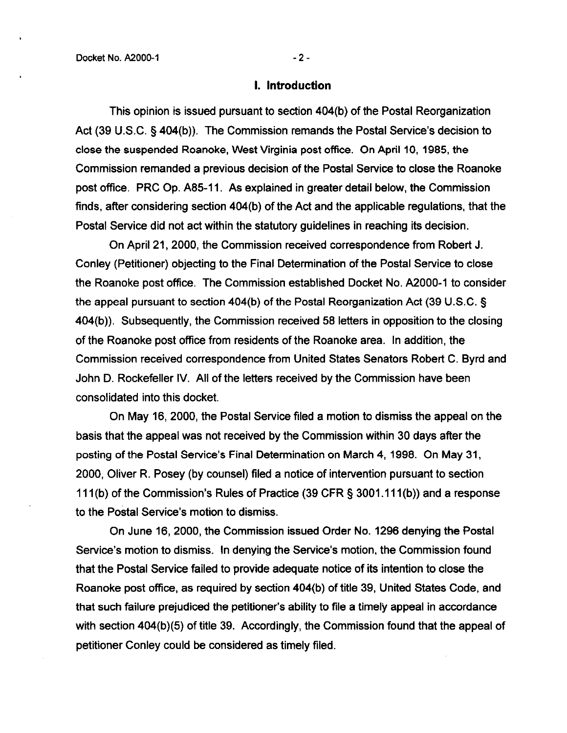#### 1. Introduction

This opinion is issued pursuant to section 404(b) of the Postal Reorganization Act (39 U.S.C. § 404(b)). The Commission remands the Postal Service's decision to close the suspended Roanoke, West Virginia post office. On April 10, 1985, the Commission remanded a previous decision of the Postal Service to close the Roanoke post office. PRC Op. A85-11. As explained in greater detail below, the Commission finds, after considering section 404(b) of the Act and the applicable regulations, that the Postal Service did not act within the statutory guidelines in reaching its decision.

On April 21,2000, the Commission received correspondence from Robert J. Conley (Petitioner) objecting to the Final Determination of the Postal Service to close the Roanoke post office. The Commission established Docket No. A2000-1 to consider the appeal pursuant to section  $404(b)$  of the Postal Reorganization Act (39 U.S.C. § 404(b)). Subsequently, the Commission received 58 letters in opposition to the closing of the Roanoke post office from residents of the Roanoke area. In addition, the Commission received correspondence from United States Senators Robert C. Byrd and John D. Rockefeller IV. All of the letters received by the Commission have been consolidated into this docket.

On May 16, 2000, the Postal Service filed a motion to dismiss the appeal on the basis that the appeal was not received by the Commission within 30 days after the posting of the Postal Service's Final Determination on March 4, 1998. On May 31, 2000, Oliver R. Posey (by counsel) filed a notice of intervention pursuant to section 111 (b) of the Commission's Rules of Practice (39 CFR § 3001.111 (b)) and a response to the Postal Service's motion to dismiss.

On June 16,2000, the Commission issued Order No. 1296 denying the Postal Service's motion to dismiss. In denying the Service's motion, the Commission found that the Postal Service failed to provide adequate notice of its intention to close the Roanoke post office, as required by section 404(b) of title 39, United States Code, and that such failure prejudiced the petitioner's ability to file a timely appeal in accordance with section 404(b)(5) of title 39. Accordingly, the Commission found that the appeal of petitioner Conley could be considered as timely filed.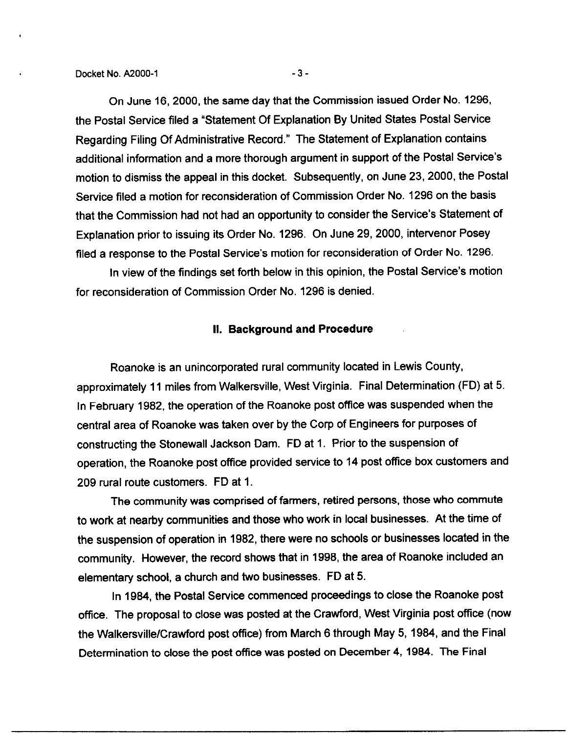On June 16,2000, the same day that the Commission issued Order No. 1296, the Postal Service filed a "Statement Of Explanation By United States Postal Service Regarding Filing Of Administrative Record." The Statement of Explanation contains additional information and a more thorough argument in support of the Postal Service's motion to dismiss the appeal in this docket. Subsequently, on June 23, 2000, the Postal Service filed a motion for reconsideration of Commission Order No. 1296 on the basis that the Commission had not had an opportunity to consider the Service's Statement of Explanation prior to issuing its Order No. 1296. On June 29, 2000, intervenor Posey filed a response to the Postal Service's motion for reconsideration of Order No. 1296.

In view of the findings set forth below in this opinion, the Postal Service's motion for reconsideration of Commission Order No. 1296 is denied.

### II. Background and Procedure

Roanoke is an unincorporated rural community located in Lewis County, approximately 11 miles from Walkersville, West Virginia. Final Determination (FD) at 5. In February 1982, the operation of the Roanoke post office was suspended when the central area of Roanoke was taken over by the Corp of Engineers for purposes of constructing the Stonewall Jackson Dam. FD at 1. Prior to the suspension of operation, the Roanoke post office provided service to 14 post office box customers and 209 rural route customers. FD at 1.

The community was comprised of farmers, retired persons, those who commute to work at nearby communities and those who work in local businesses. At the time of the suspension of operation in 1982, there were no schools or businesses located in the community. However, the record shows that in 1998, the area of Roanoke included an elementary school, a church and two businesses. FD at 5.

In 1984, the Postal Service commenced proceedings to close the Roanoke post office. The proposal to close was posted at the Crawford, West Virginia post office (now the Walkersville/Crawford post office) from March 6 through May 5, 1984, and the Final Determination to close the post office was posted on December 4, 1984. The Final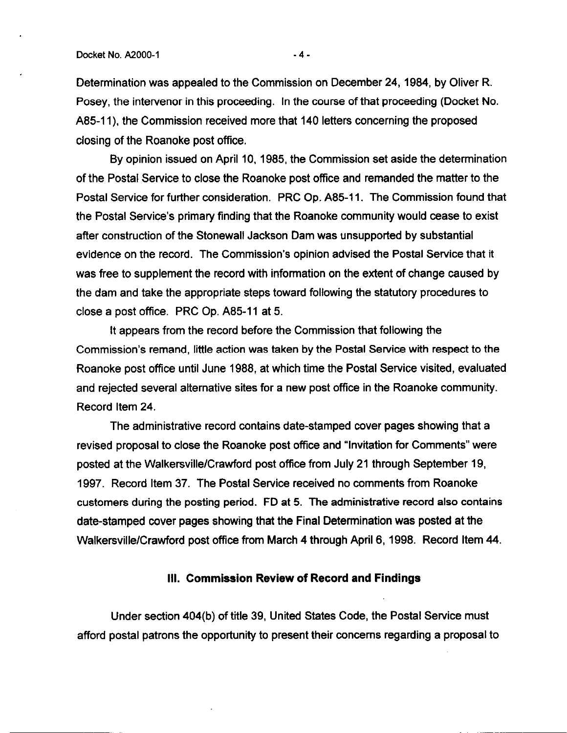Determination was appealed to the Commission on December 24, 1984, by Oliver R. Posey, the intervenor in this proceeding. In the course of that proceeding (Docket No. A85-11), the Commission received more that 140 letters concerning the proposed closing of the Roanoke post office.

By opinion issued on April 10, 1985, the Commission set aside the determination of the Postal Service to close the Roanoke post office and remanded the matter to the Postal Service for further consideration. PRC Op. A85-11. The Commission found that the Postal Service's primary finding that the Roanoke community would cease to exist after construction of the Stonewall Jackson Dam was unsupported by substantial evidence on the record. The Commission's opinion advised the Postal Service that it was free to supplement the record with information on the extent of change caused by the dam and take the appropriate steps toward following the statutory procedures to close a post office. PRC Op. A85-11 at 5.

It appears from the record before the Commission that following the Commission's remand, little action was taken by the Postal Service with respect to the Roanoke post office until June 1988, at which time the Postal Service visited, evaluated and rejected several alternative sites for a new post office in the Roanoke community. Record Item 24.

The administrative record contains date-stamped cover pages showing that a revised proposal to close the Roanoke post office and "Invitation for Comments" were posted at the WalkersvillelCrawford post office from July 21 through September 19, 1997. Record Item 37. The Postal Service received no comments from Roanoke customers during the posting period. FD at 5. The administrative record also contains date-stamped cover pages showing that the Final Determination was posted at the Walkersville/Crawford post office from March 4 through April 6, 1998. Record Item 44.

## Ill. Commission Review of Record and Findings

Under section 404(b) of title 39, United States Code, the Postal Service must afford postal patrons the opportunity to present their concerns regarding a proposal to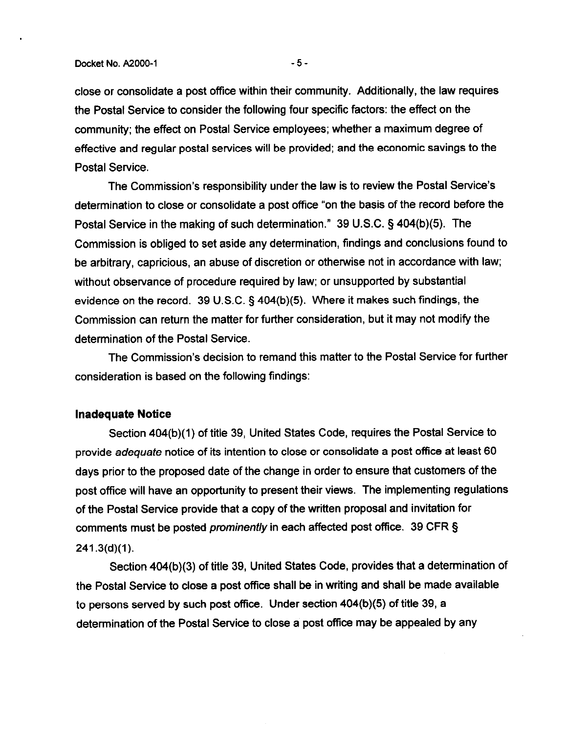close or consolidate a post office within their community. Additionally, the law requires the Postal Service to consider the following four specific factors: the effect on the community; the effect on Postal Service employees; whether a maximum degree of effective and regular postal services will be provided; and the economic savings to the Postal Service.

The Commission's responsibility under the law is to review the Postal Service's determination to close or consolidate a post office "on the basis of the record before the Postal Service in the making of such determination." 39 U.S.C. 5 404(b)(5). The Commission is obliged to set aside any determination, findings and conclusions found to be arbitrary, capricious, an abuse of discretion or otherwise not in accordance with law; without observance of procedure required by law; or unsupported by substantial evidence on the record. 39 U.S.C. § 404(b)(5). Where it makes such findings, the Commission can return the matter for further consideration, but it may not modify the determination of the Postal Service.

The Commission's decision to remand this matter to the Postal Service for further consideration is based on the following findings:

#### Inadequate Notice

Section 404(b)(1) of title 39, United States Code, requires the Postal Service to provide adequate notice of its intention to close or consolidate a post office at least 60 days prior to the proposed date of the change in order to ensure that customers of the post office will have an opportunity to present their views. The implementing regulations of the Postal Service provide that a copy of the written proposal and invitation for comments must be posted prominently in each affected post office. 39 CFR §  $241.3(d)(1)$ .

Section 404(b)(3) of tile 39, United States Code, provides that a determination of the Postal Service to close a post office shall be in writing and shall be made available to persons served by such post office. Under section 404(b)(5) of title 39, a determination of the Postal Service to close a post office may be appealed by any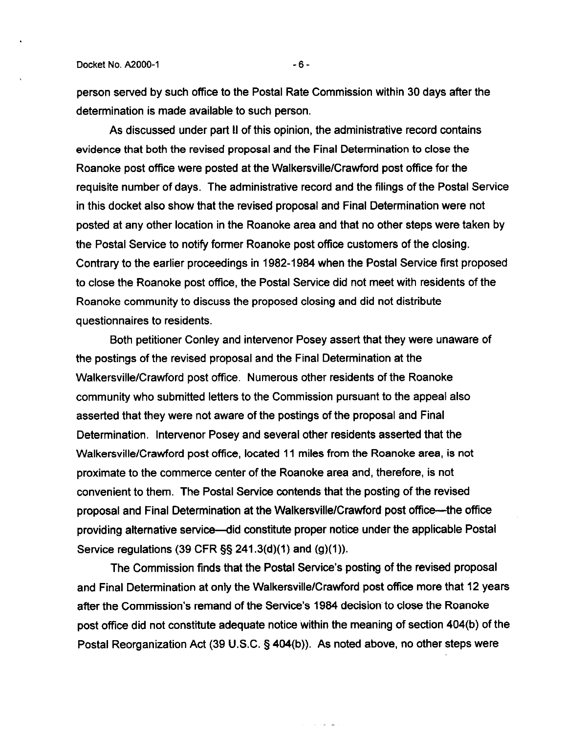person served by such office to the Postal Rate Commission within 30 days after the determination is made available to such person.

As discussed under part 11 of this opinion, the administrative record contains evidence that both the revised proposal and the Final Determination to close the Roanoke post office were posted at the Walkersville/Crawford post office for the requisite number of days. The administrative record and the filings of the Postal Service in this docket also show that the revised proposal and Final Determination were not posted at any other location in the Roanoke area and that no other steps were taken by the Postal Service to notify former Roanoke post office customers of the closing. Contrary to the earlier proceedings in 1982-1984 when the Postal Service first proposed to close the Roanoke post oftice, the Postal Service did not meet with residents of the Roanoke community to discuss the proposed closing and did not distribute questionnaires to residents.

Both petitioner Conley and intervenor Posey assert that they were unaware of the postings of the revised proposal and the Final Determination at the Walkersville/Crawford post office. Numerous other residents of the Roanoke community who submitted letters to the Commission pursuant to the appeal also asserted that they were not aware of the postings of the proposal and Final Determination. lntervenor Posey and several other residents asserted that the Walkersville/Crawford post office, located 11 miles from the Roanoke area, is not proximate to the commerce center of the Roanoke area and, therefore, is not convenient to them. The Postal Service contends that the posting of the revised proposal and Final Determination at the Walkersville/Crawford post office—the office providing alternative service-did constitute proper notice under the applicable Postal Service regulations (39 CFR  $\S$ § 241.3(d)(1) and (g)(1)).

The Commission finds that the Postal Service's posting of the revised proposal and Final Determination at only the WalkersvillelCrawford post office more that 12 years after the Commission's remand of the Service's 1984 decision'to close the Roanoke post office did not constitute adequate notice within the meaning of section 404(b) of the Postal Reorganization Act (39 U.S.C. § 404(b)). As noted above, no other steps were

سام المراجع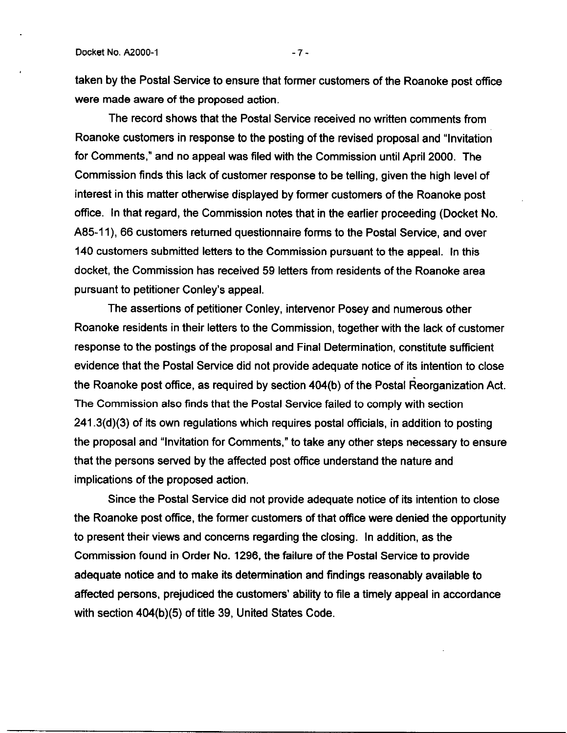taken by the Postal Service to ensure that former customers of the Roanoke post office were made aware of the proposed action.

The record shows that the Postal Service received no written comments from Roanoke customers in response to the posting of the revised proposal and "Invitation for Comments," and no appeal was filed with the Commission until April 2000. The Commission finds this lack of customer response to be telling, given the high level of interest in this matter otherwise displayed by former customers of the Roanoke post office. In that regard, the Commission notes that in the earlier proceeding (Docket No. A85-1 I), 66 customers returned questionnaire forms to the Postal Service, and over 140 customers submitted letters to the Commission pursuant to the appeal. In this docket, the Commission has received 59 letters from residents of the Roanoke area pursuant to petitioner Conley's appeal.

The assertions of petitioner Conley, intervenor Posey and numerous other Roanoke residents in their letters to the Commission, together with the lack of customer response to the postings of the proposal and Final Determination, constitute sufficient evidence that the Postal Service did not provide adequate notice of its intention to close the Roanoke post office, as required by section 404(b) of the Postal Reorganization Act. The Commission also finds that the Postal Service failed to comply with section 241.3(d)(3) of its own regulations which requires postal officials, in addition to posting the proposal and "Invitation for Comments," to take any other steps necessary to ensure that the persons served by the affected post office understand the nature and implications of the proposed action.

Since the Postal Service did not provide adequate notice of its intention to close the Roanoke post office, the former customers of that office were denied the opportunity to present their views and concerns regarding the closing. In addition, as the Commission found in Order No. 1296. the failure of the Postal Service to provide adequate notice and to make its determination and findings reasonably available to affected persons, prejudiced the customers' ability to file a timely appeal in accordance with section 404(b)(5) of title 39, United States Code.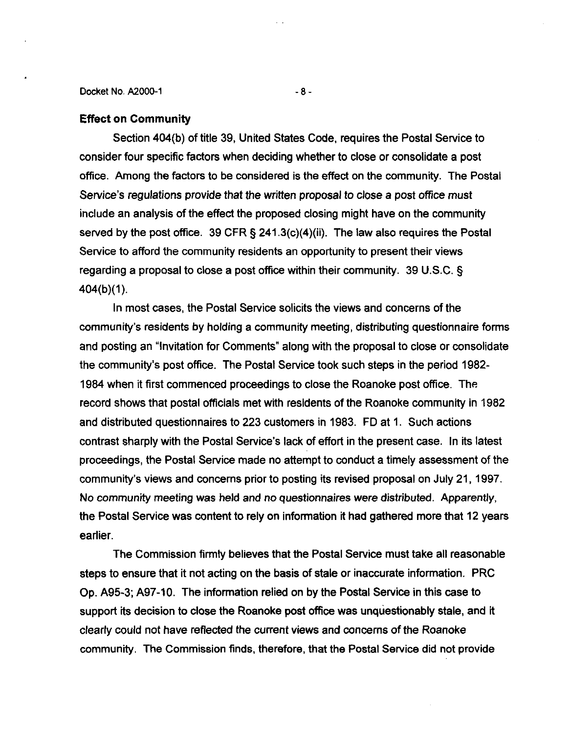Docket No. AZOOO-1 -a-

# Effect on Community

Section 404(b) of title 39, United States Code, requires the Postal Service to consider four specific factors when deciding whether to close or consolidate a post office. Among the factors to be considered is the effect on the community. The Postal Service's regulations provide that the written proposal to close a post office must include an analysis of the effect the proposed closing might have on the community served by the post office. 39 CFR § 241.3(c)(4)(ii). The law also requires the Postal Service to afford the community residents an opportunity to present their views regarding a proposal to close a post office within their community. 39 U.S.C. §  $404(b)(1)$ .

In most cases, the Postal Service solicits the views and concerns of the community's residents by holding a community meeting, distributing questionnaire forms and posting an "Invitation for Comments" along with the proposal to close or consolidate the community's post office. The Postal Service took such steps in the period 1982- 1984 when it first commenced proceedings to close the Roanoke post office. The record shows that postal officials met with residents of the Roanoke community in 1982 and distributed questionnaires to 223 customers in 1983. FD at 1. Such actions contrast sharply with the Postal Service's lack of effort in the present case. In its latest proceedings, the Postal Service made no attempt to conduct a timely assessment of the community's views and concerns prior to posting its revised proposal on July 21, 1997. No community meeting was held and no questionnaires were distributed. Apparently, the Postal Service was content to rely on information it had gathered more that 12 years earlier.

The Commission firmly believes that the Postal Service must take all reasonable steps to ensure that it not acting on the basis of stale or inaccurate information. PRC Op. A95-3; A97-10. The information relied on by the Postal Service in this case to support its decision to close the Roanoke post office was unquestionably stale, and it clearly could not have reflected the current views and concerns of the Roanoke community. The Commission finds, therefore, that the Postal Service did not provide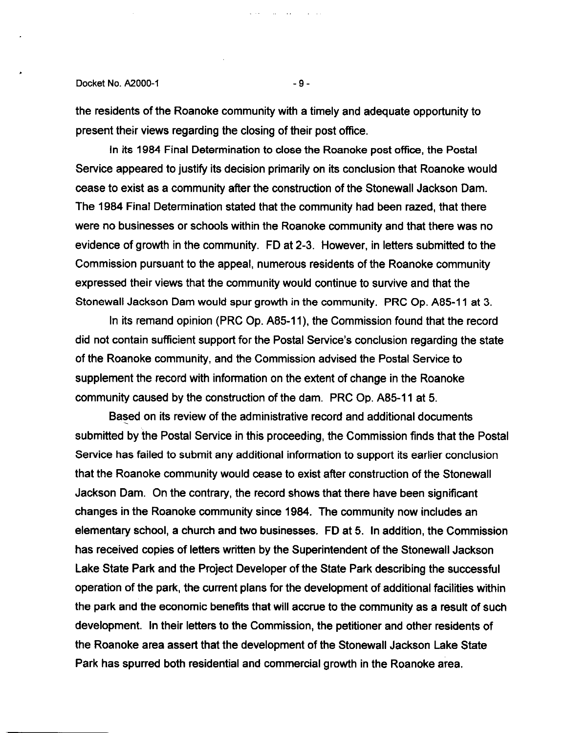#### Docket No. A2000-1 -9-

the residents of the Roanoke community with a timely and adequate opportunity to present their views regarding the closing of their post office.

In its 1984 Final Determination to close the Roanoke post office, the Postal Service appeared to justify its decision primarily on its conclusion that Roanoke would cease to exist as a community after the construction of the Stonewall Jackson Dam. The 1984 Final Determination stated that the community had been razed, that there were no businesses or schools within the Roanoke community and that there was no evidence of growth in the community. FD at 2-3. However, in letters submitted to the Commission pursuant to the appeal, numerous residents of the Roanoke community expressed their views that the community would continue to survive and that the Stonewall Jackson Dam would spur growth in the community. PRC Op. A85-11 at 3.

In its remand opinion (PRC Op. A85-11), the Commission found that the record did not contain sufficient support for the Postal Service's conclusion regarding the state of the Roanoke community, and the Commission advised the Postal Service to supplement the record with information on the extent of change in the Roanoke community caused by the construction of the dam. PRC Op. A85-11 at 5.

Based on its review of the administrative record and additional documents submitted by the Postal Service in this proceeding, the Commission finds that the Postal Service has failed to submit any additional information to support its earlier conclusion that the Roanoke community would cease to exist after construction of the Stonewall Jackson Dam. On the contrary, the record shows that there have been significant changes in the Roanoke community since 1984. The community now includes an elementary school, a church and two businesses. FD at 5. In addition, the Commission has received copies of letters written by the Superintendent of the Stonewall Jackson Lake State Park and the Project Developer of the State Park describing the successful operation of the park, the current plans for the development of additional facilities within the park and the economic benefits that will accrue to the community as a result of such development. In their letters to the Commission, the petitioner and other residents of the Roanoke area assert that the development of the Stonewall Jackson Lake State Park has spurred both residential and commercial growth in the Roanoke area.

and the state of the state